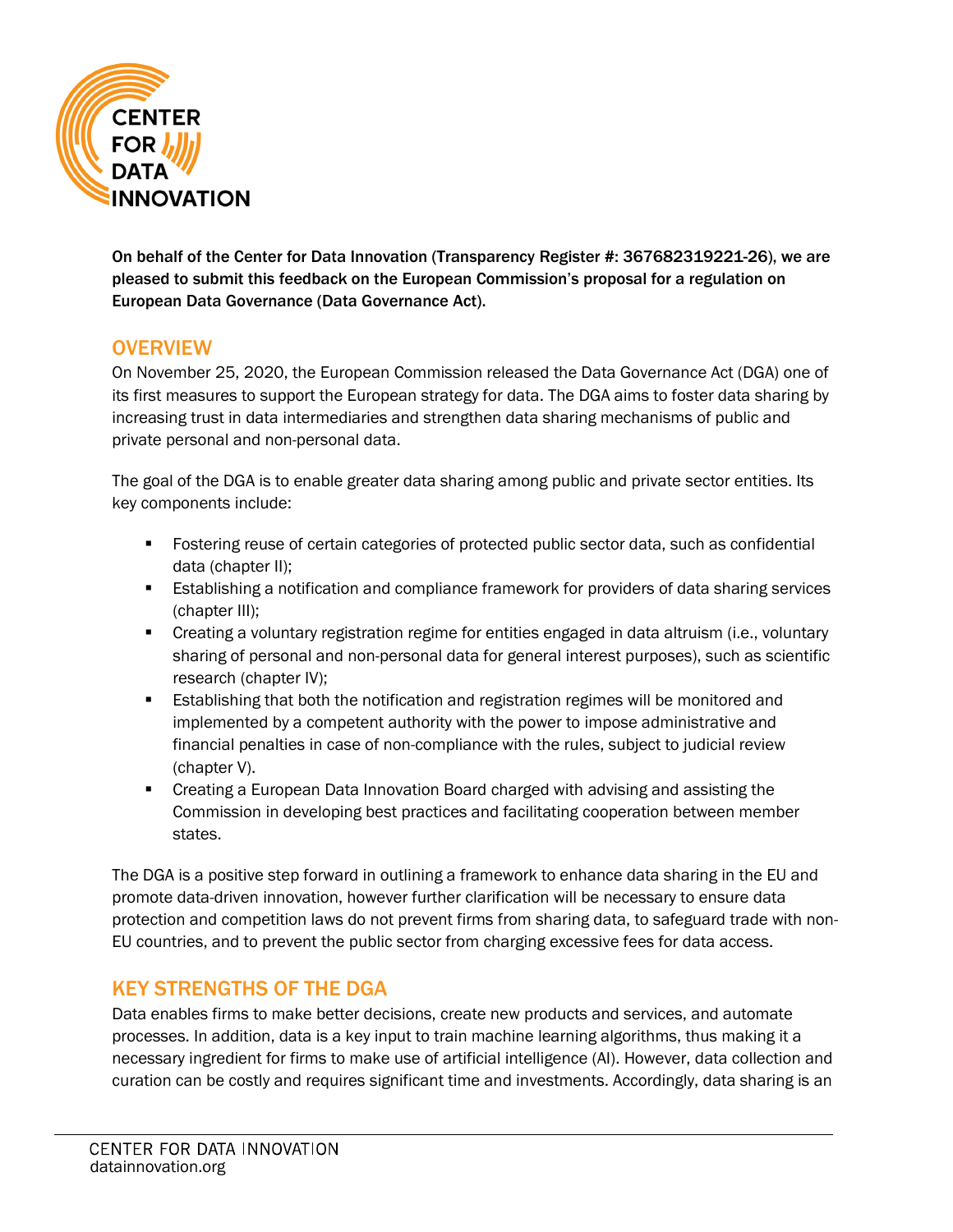

On behalf of the Center for Data Innovation (Transparency Register #: 367682319221-26), we are pleased to submit this feedback on the European Commission's proposal for a regulation on European Data Governance (Data Governance Act).

### **OVERVIEW**

On November 25, 2020, the European Commission released the Data Governance Act (DGA) one of its first measures to support the European strategy for data. The DGA aims to foster data sharing by increasing trust in data intermediaries and strengthen data sharing mechanisms of public and private personal and non-personal data.

The goal of the DGA is to enable greater data sharing among public and private sector entities. Its key components include:

- Fostering reuse of certain categories of protected public sector data, such as confidential data (chapter II);
- Establishing a notification and compliance framework for providers of data sharing services (chapter III);
- **EXT** Creating a voluntary registration regime for entities engaged in data altruism (i.e., voluntary sharing of personal and non-personal data for general interest purposes), such as scientific research (chapter IV);
- **E** Establishing that both the notification and registration regimes will be monitored and implemented by a competent authority with the power to impose administrative and financial penalties in case of non-compliance with the rules, subject to judicial review (chapter V).
- Creating a European Data Innovation Board charged with advising and assisting the Commission in developing best practices and facilitating cooperation between member states.

The DGA is a positive step forward in outlining a framework to enhance data sharing in the EU and promote data-driven innovation, however further clarification will be necessary to ensure data protection and competition laws do not prevent firms from sharing data, to safeguard trade with non-EU countries, and to prevent the public sector from charging excessive fees for data access.

# KEY STRENGTHS OF THE DGA

Data enables firms to make better decisions, create new products and services, and automate processes. In addition, data is a key input to train machine learning algorithms, thus making it a necessary ingredient for firms to make use of artificial intelligence (AI). However, data collection and curation can be costly and requires significant time and investments. Accordingly, data sharing is an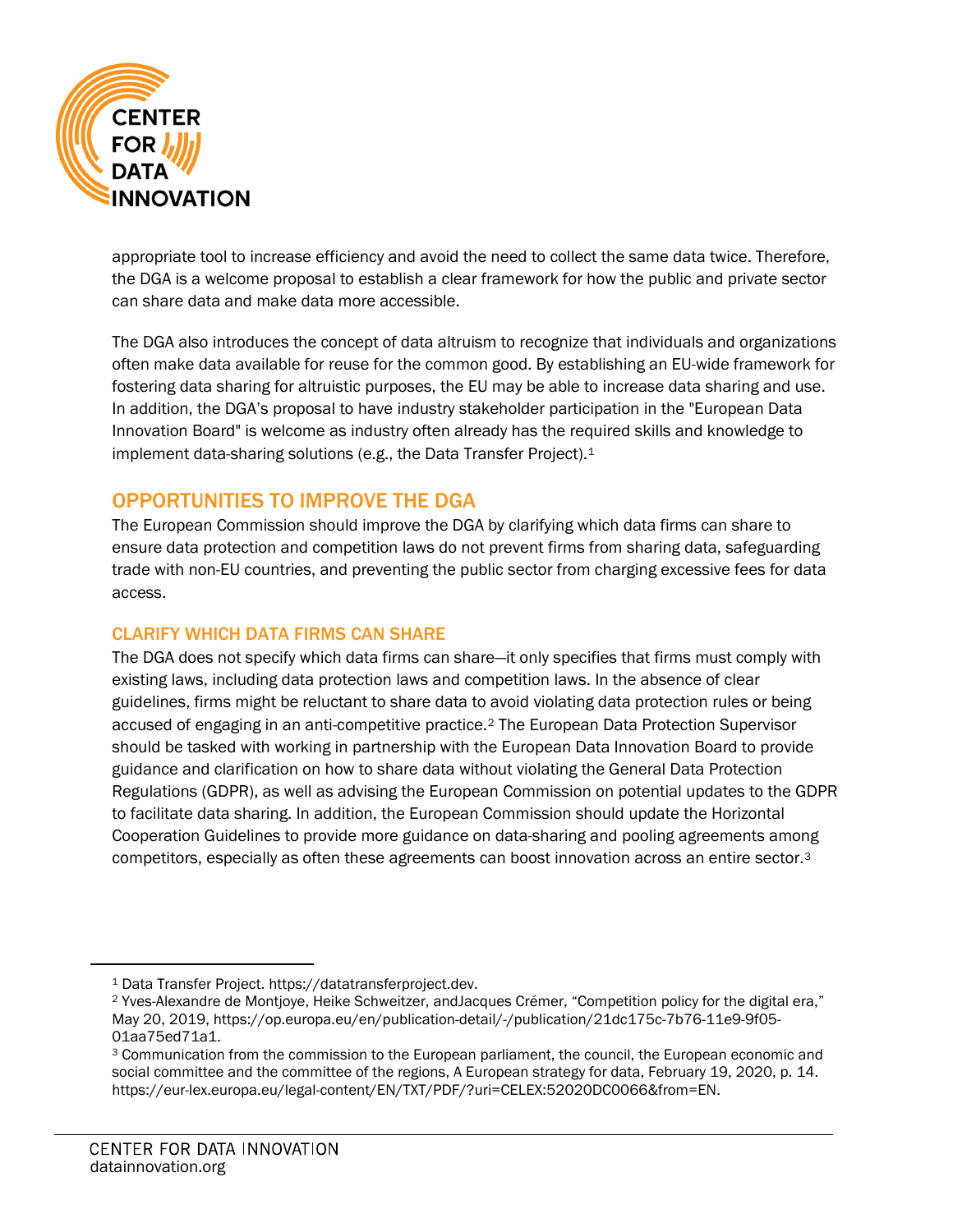

appropriate tool to increase efficiency and avoid the need to collect the same data twice. Therefore, the DGA is a welcome proposal to establish a clear framework for how the public and private sector can share data and make data more accessible.

The DGA also introduces the concept of data altruism to recognize that individuals and organizations often make data available for reuse for the common good. By establishing an EU-wide framework for fostering data sharing for altruistic purposes, the EU may be able to increase data sharing and use. In addition, the DGA's proposal to have industry stakeholder participation in the "European Data Innovation Board" is welcome as industry often already has the required skills and knowledge to implement data-sharing solutions (e.g., the Data Transfer Project).[1](#page-1-0)

# OPPORTUNITIES TO IMPROVE THE DGA

The European Commission should improve the DGA by clarifying which data firms can share to ensure data protection and competition laws do not prevent firms from sharing data, safeguarding trade with non-EU countries, and preventing the public sector from charging excessive fees for data access.

### CLARIFY WHICH DATA FIRMS CAN SHARE

The DGA does not specify which data firms can share—it only specifies that firms must comply with existing laws, including data protection laws and competition laws. In the absence of clear guidelines, firms might be reluctant to share data to avoid violating data protection rules or being accused of engaging in an anti-competitive practice.[2](#page-1-1) The European Data Protection Supervisor should be tasked with working in partnership with the European Data Innovation Board to provide guidance and clarification on how to share data without violating the General Data Protection Regulations (GDPR), as well as advising the European Commission on potential updates to the GDPR to facilitate data sharing. In addition, the European Commission should update the Horizontal Cooperation Guidelines to provide more guidance on data-sharing and pooling agreements among competitors, especially as often these agreements can boost innovation across an entire sector.[3](#page-1-2)

<span id="page-1-0"></span><sup>1</sup> Data Transfer Project. https://datatransferproject.dev.

<span id="page-1-1"></span><sup>2</sup> Yves-Alexandre de Montjoye, Heike Schweitzer, andJacques Crémer, "Competition policy for the digital era," May 20, 2019, https://op.europa.eu/en/publication-detail/-/publication/21dc175c-7b76-11e9-9f05- 01aa75ed71a1.

<span id="page-1-2"></span><sup>3</sup> Communication from the commission to the European parliament, the council, the European economic and social committee and the committee of the regions, A European strategy for data, February 19, 2020, p. 14. https://eur-lex.europa.eu/legal-content/EN/TXT/PDF/?uri=CELEX:52020DC0066&from=EN.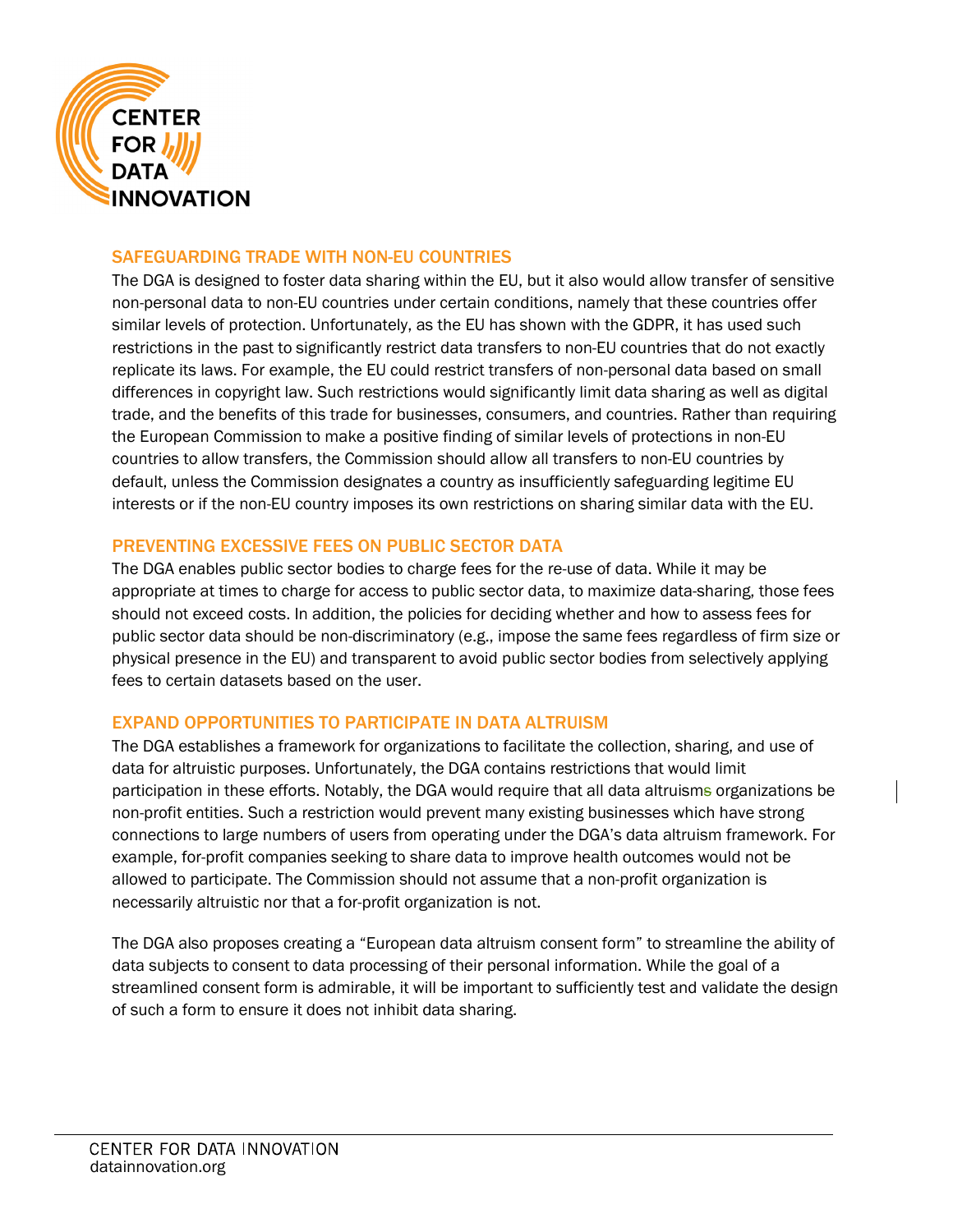

#### SAFEGUARDING TRADE WITH NON-EU COUNTRIES

The DGA is designed to foster data sharing within the EU, but it also would allow transfer of sensitive non-personal data to non-EU countries under certain conditions, namely that these countries offer similar levels of protection. Unfortunately, as the EU has shown with the GDPR, it has used such restrictions in the past to significantly restrict data transfers to non-EU countries that do not exactly replicate its laws. For example, the EU could restrict transfers of non-personal data based on small differences in copyright law. Such restrictions would significantly limit data sharing as well as digital trade, and the benefits of this trade for businesses, consumers, and countries. Rather than requiring the European Commission to make a positive finding of similar levels of protections in non-EU countries to allow transfers, the Commission should allow all transfers to non-EU countries by default, unless the Commission designates a country as insufficiently safeguarding legitime EU interests or if the non-EU country imposes its own restrictions on sharing similar data with the EU.

#### PREVENTING EXCESSIVE FEES ON PUBLIC SECTOR DATA

The DGA enables public sector bodies to charge fees for the re-use of data. While it may be appropriate at times to charge for access to public sector data, to maximize data-sharing, those fees should not exceed costs. In addition, the policies for deciding whether and how to assess fees for public sector data should be non-discriminatory (e.g., impose the same fees regardless of firm size or physical presence in the EU) and transparent to avoid public sector bodies from selectively applying fees to certain datasets based on the user.

### EXPAND OPPORTUNITIES TO PARTICIPATE IN DATA ALTRUISM

The DGA establishes a framework for organizations to facilitate the collection, sharing, and use of data for altruistic purposes. Unfortunately, the DGA contains restrictions that would limit participation in these efforts. Notably, the DGA would require that all data altruisms organizations be non-profit entities. Such a restriction would prevent many existing businesses which have strong connections to large numbers of users from operating under the DGA's data altruism framework. For example, for-profit companies seeking to share data to improve health outcomes would not be allowed to participate. The Commission should not assume that a non-profit organization is necessarily altruistic nor that a for-profit organization is not.

The DGA also proposes creating a "European data altruism consent form" to streamline the ability of data subjects to consent to data processing of their personal information. While the goal of a streamlined consent form is admirable, it will be important to sufficiently test and validate the design of such a form to ensure it does not inhibit data sharing.